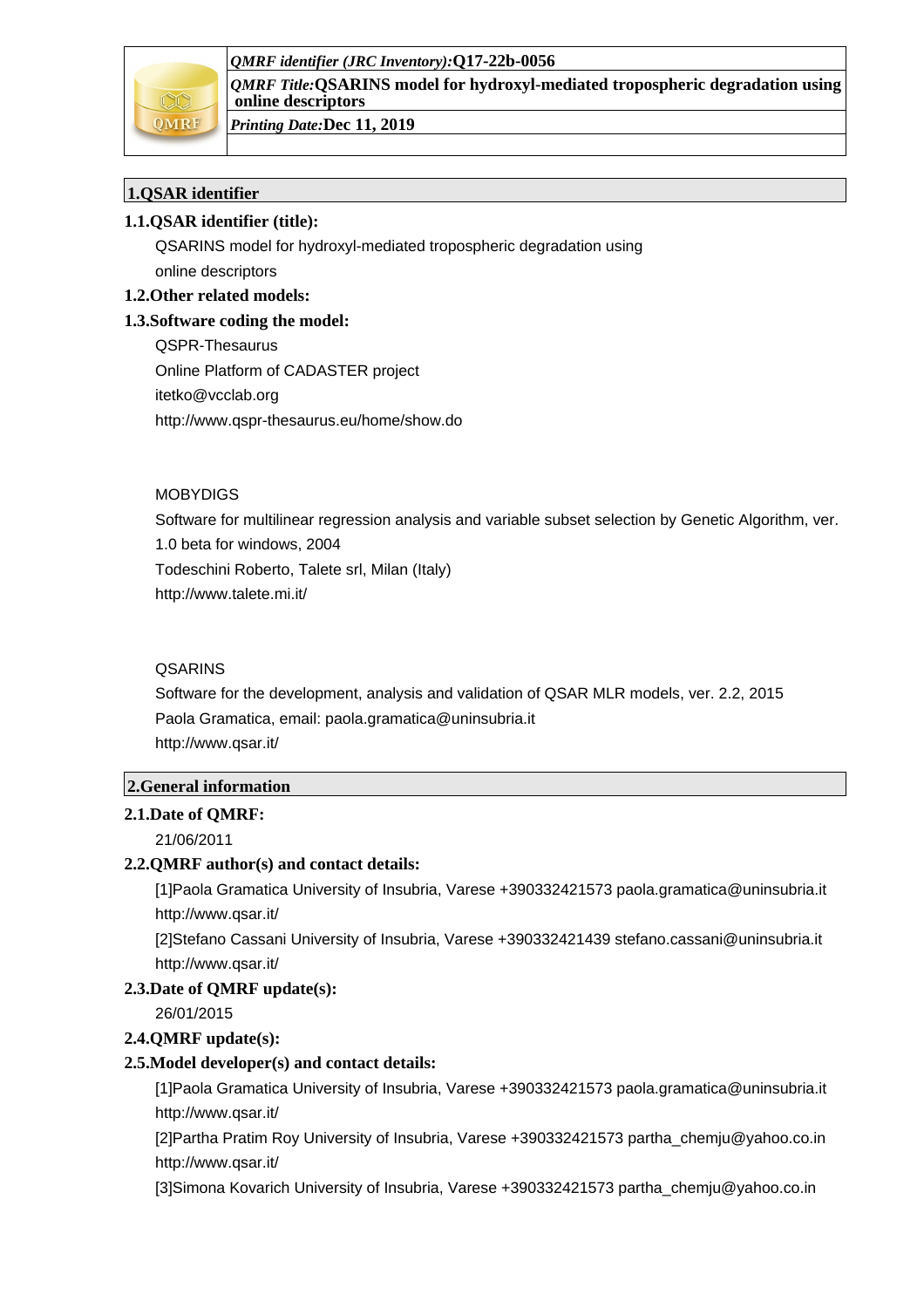*QMRF identifier (JRC Inventory):***Q17-22b-0056**



*QMRF Title:***QSARINS model for hydroxyl-mediated tropospheric degradation using online descriptors**

*Printing Date:***Dec 11, 2019**

# **1.QSAR identifier**

# **1.1.QSAR identifier (title):**

QSARINS model for hydroxyl-mediated tropospheric degradation using online descriptors

**1.2.Other related models:**

# **1.3.Software coding the model:**

QSPR-Thesaurus Online Platform of CADASTER project itetko@vcclab.org http://www.qspr-thesaurus.eu/home/show.do

## **MORYDIGS**

Software for multilinear regression analysis and variable subset selection by Genetic Algorithm, ver. 1.0 beta for windows, 2004 Todeschini Roberto, Talete srl, Milan (Italy) http://www.talete.mi.it/

# **QSARINS**

Software for the development, analysis and validation of QSAR MLR models, ver. 2.2, 2015 Paola Gramatica, email: paola.gramatica@uninsubria.it http://www.qsar.it/

#### **2.General information**

#### **2.1.Date of QMRF:**

21/06/2011

# **2.2.QMRF author(s) and contact details:**

[1]Paola Gramatica University of Insubria, Varese +390332421573 paola.gramatica@uninsubria.it http://www.qsar.it/

[2]Stefano Cassani University of Insubria, Varese +390332421439 stefano.cassani@uninsubria.it http://www.qsar.it/

#### **2.3.Date of QMRF update(s):**

26/01/2015

# **2.4.QMRF update(s):**

#### **2.5.Model developer(s) and contact details:**

[1]Paola Gramatica University of Insubria, Varese +390332421573 paola.gramatica@uninsubria.it http://www.qsar.it/

[2]Partha Pratim Roy University of Insubria, Varese +390332421573 partha\_chemju@yahoo.co.in http://www.qsar.it/

[3]Simona Kovarich University of Insubria, Varese +390332421573 partha\_chemju@yahoo.co.in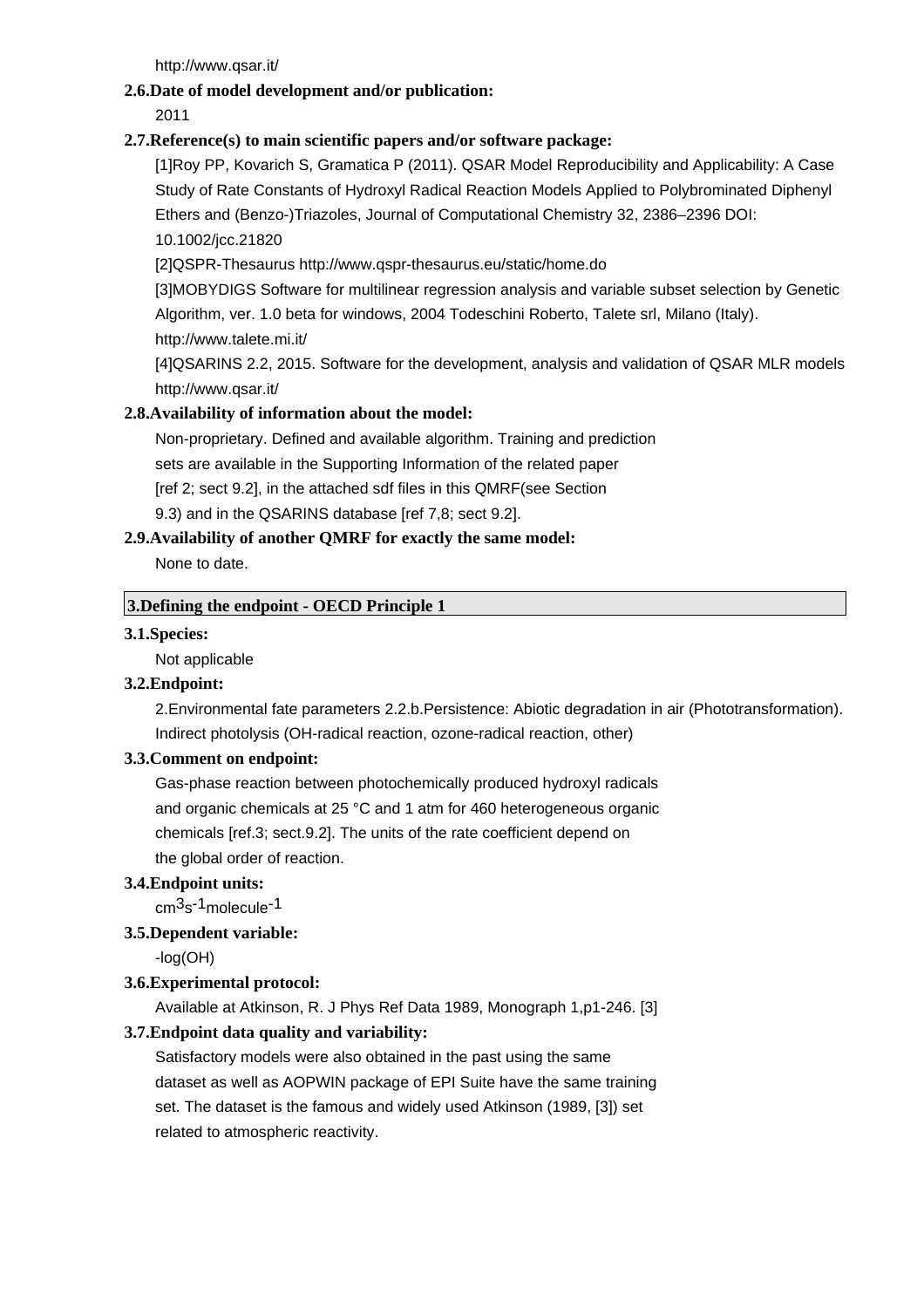http://www.qsar.it/

# **2.6.Date of model development and/or publication:**

2011

# **2.7.Reference(s) to main scientific papers and/or software package:**

[1]Roy PP, Kovarich S, Gramatica P (2011). QSAR Model Reproducibility and Applicability: A Case Study of Rate Constants of Hydroxyl Radical Reaction Models Applied to Polybrominated Diphenyl Ethers and (Benzo-)Triazoles, Journal of Computational Chemistry 32, 2386–2396 DOI: 10.1002/jcc.21820

[2]QSPR-Thesaurus http://www.qspr-thesaurus.eu/static/home.do

[3]MOBYDIGS Software for multilinear regression analysis and variable subset selection by Genetic Algorithm, ver. 1.0 beta for windows, 2004 Todeschini Roberto, Talete srl, Milano (Italy).

http://www.talete.mi.it/

[4]QSARINS 2.2, 2015. Software for the development, analysis and validation of QSAR MLR models http://www.qsar.it/

# **2.8.Availability of information about the model:**

Non-proprietary. Defined and available algorithm. Training and prediction

sets are available in the Supporting Information of the related paper

[ref 2; sect 9.2], in the attached sdf files in this QMRF(see Section

9.3) and in the QSARINS database [ref 7,8; sect 9.2].

# **2.9.Availability of another QMRF for exactly the same model:**

None to date.

# **3.Defining the endpoint - OECD Principle 1**

# **3.1.Species:**

Not applicable

# **3.2.Endpoint:**

2.Environmental fate parameters 2.2.b.Persistence: Abiotic degradation in air (Phototransformation). Indirect photolysis (OH-radical reaction, ozone-radical reaction, other)

# **3.3.Comment on endpoint:**

Gas-phase reaction between photochemically produced hydroxyl radicals and organic chemicals at 25 °C and 1 atm for 460 heterogeneous organic chemicals [ref.3; sect.9.2]. The units of the rate coefficient depend on the global order of reaction.

# **3.4.Endpoint units:**

cm3s -1molecule-1

# **3.5.Dependent variable:**

-log(OH)

# **3.6.Experimental protocol:**

Available at Atkinson, R. J Phys Ref Data 1989, Monograph 1,p1-246. [3]

# **3.7.Endpoint data quality and variability:**

Satisfactory models were also obtained in the past using the same dataset as well as AOPWIN package of EPI Suite have the same training set. The dataset is the famous and widely used Atkinson (1989, [3]) set related to atmospheric reactivity.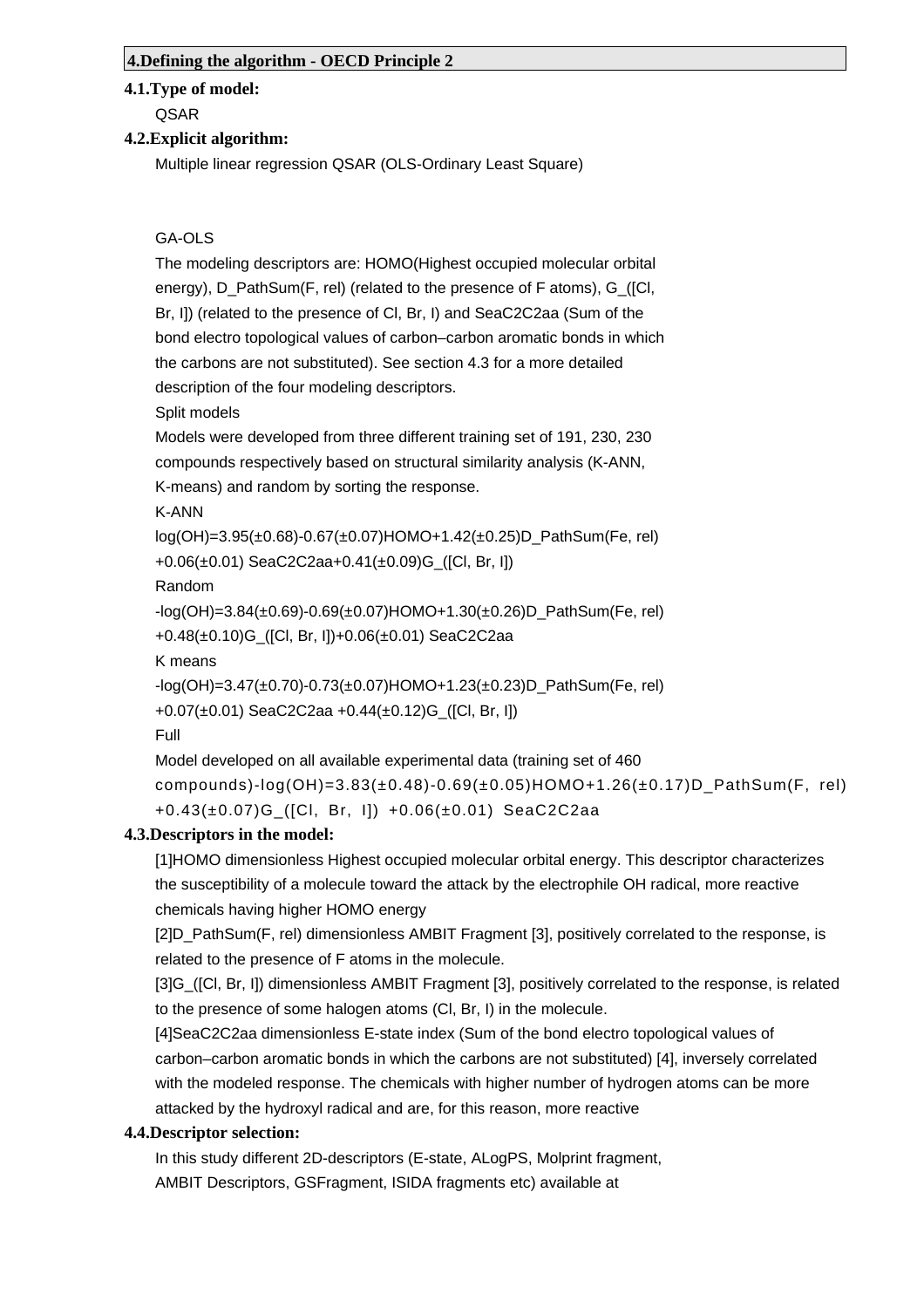#### **4.Defining the algorithm - OECD Principle 2**

#### **4.1.Type of model:**

QSAR

## **4.2.Explicit algorithm:**

Multiple linear regression QSAR (OLS-Ordinary Least Square)

## GA-OLS

The modeling descriptors are: HOMO(Highest occupied molecular orbital energy), D\_PathSum(F, rel) (related to the presence of F atoms), G\_([Cl, Br, I]) (related to the presence of Cl, Br, I) and SeaC2C2aa (Sum of the bond electro topological values of carbon–carbon aromatic bonds in which the carbons are not substituted). See section 4.3 for a more detailed description of the four modeling descriptors.

Split models

Models were developed from three different training set of 191, 230, 230 compounds respectively based on structural similarity analysis (K-ANN,

K-means) and random by sorting the response.

K-ANN

log(OH)=3.95(±0.68)-0.67(±0.07)HOMO+1.42(±0.25)D\_PathSum(Fe, rel) +0.06(±0.01) SeaC2C2aa+0.41(±0.09)G\_([Cl, Br, I])

Random

 $-log(OH)=3.84(\pm 0.69)-0.69(\pm 0.07)$ HOMO+1.30( $\pm 0.26$ )D PathSum(Fe, rel) +0.48(±0.10)G\_([Cl, Br, I])+0.06(±0.01) SeaC2C2aa

K means

-log(OH)=3.47(±0.70)-0.73(±0.07)HOMO+1.23(±0.23)D\_PathSum(Fe, rel) +0.07(±0.01) SeaC2C2aa +0.44(±0.12)G\_([Cl, Br, I])

Full

```
Model developed on all available experimental data (training set of 460
compounds)-log(OH)=3.83(±0.48)-0.69(±0.05)HOMO+1.26(±0.17)D_PathSum(F, rel)
+0.43(±0.07)G_([Cl, Br, I]) +0.06(±0.01) SeaC2C2aa
```
# **4.3.Descriptors in the model:**

[1]HOMO dimensionless Highest occupied molecular orbital energy. This descriptor characterizes the susceptibility of a molecule toward the attack by the electrophile OH radical, more reactive chemicals having higher HOMO energy

[2]D\_PathSum(F, rel) dimensionless AMBIT Fragment [3], positively correlated to the response, is related to the presence of F atoms in the molecule.

[3]G\_([Cl, Br, I]) dimensionless AMBIT Fragment [3], positively correlated to the response, is related to the presence of some halogen atoms (Cl, Br, I) in the molecule.

[4]SeaC2C2aa dimensionless E-state index (Sum of the bond electro topological values of carbon–carbon aromatic bonds in which the carbons are not substituted) [4], inversely correlated with the modeled response. The chemicals with higher number of hydrogen atoms can be more attacked by the hydroxyl radical and are, for this reason, more reactive

# **4.4.Descriptor selection:**

In this study different 2D-descriptors (E-state, ALogPS, Molprint fragment,

AMBIT Descriptors, GSFragment, ISIDA fragments etc) available at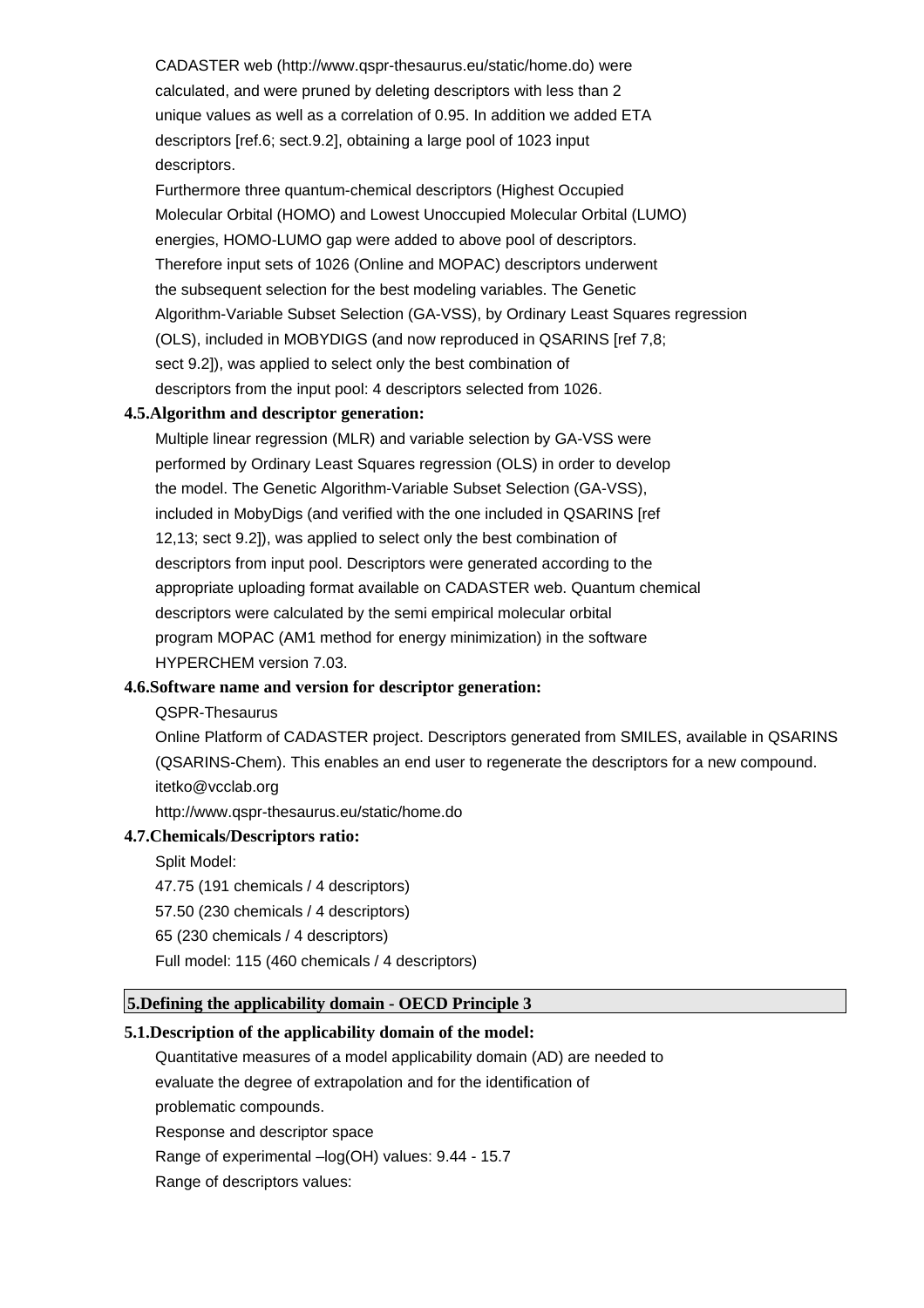CADASTER web (http://www.qspr-thesaurus.eu/static/home.do) were calculated, and were pruned by deleting descriptors with less than 2 unique values as well as a correlation of 0.95. In addition we added ETA descriptors [ref.6; sect.9.2], obtaining a large pool of 1023 input descriptors.

Furthermore three quantum-chemical descriptors (Highest Occupied Molecular Orbital (HOMO) and Lowest Unoccupied Molecular Orbital (LUMO) energies, HOMO-LUMO gap were added to above pool of descriptors. Therefore input sets of 1026 (Online and MOPAC) descriptors underwent the subsequent selection for the best modeling variables. The Genetic Algorithm-Variable Subset Selection (GA-VSS), by Ordinary Least Squares regression (OLS), included in MOBYDIGS (and now reproduced in QSARINS [ref 7,8; sect 9.2]), was applied to select only the best combination of descriptors from the input pool: 4 descriptors selected from 1026.

## **4.5.Algorithm and descriptor generation:**

Multiple linear regression (MLR) and variable selection by GA-VSS were performed by Ordinary Least Squares regression (OLS) in order to develop the model. The Genetic Algorithm-Variable Subset Selection (GA-VSS), included in MobyDigs (and verified with the one included in QSARINS [ref 12,13; sect 9.2]), was applied to select only the best combination of descriptors from input pool. Descriptors were generated according to the appropriate uploading format available on CADASTER web. Quantum chemical descriptors were calculated by the semi empirical molecular orbital program MOPAC (AM1 method for energy minimization) in the software HYPERCHEM version 7.03.

## **4.6.Software name and version for descriptor generation:**

#### QSPR-Thesaurus

Online Platform of CADASTER project. Descriptors generated from SMILES, available in QSARINS (QSARINS-Chem). This enables an end user to regenerate the descriptors for a new compound. itetko@vcclab.org

http://www.qspr-thesaurus.eu/static/home.do

#### **4.7.Chemicals/Descriptors ratio:**

Split Model:

- 47.75 (191 chemicals / 4 descriptors)
- 57.50 (230 chemicals / 4 descriptors)
- 65 (230 chemicals / 4 descriptors)
- Full model: 115 (460 chemicals / 4 descriptors)

## **5.Defining the applicability domain - OECD Principle 3**

#### **5.1.Description of the applicability domain of the model:**

- Quantitative measures of a model applicability domain (AD) are needed to
- evaluate the degree of extrapolation and for the identification of
- problematic compounds.
- Response and descriptor space
- Range of experimental –log(OH) values: 9.44 15.7
- Range of descriptors values: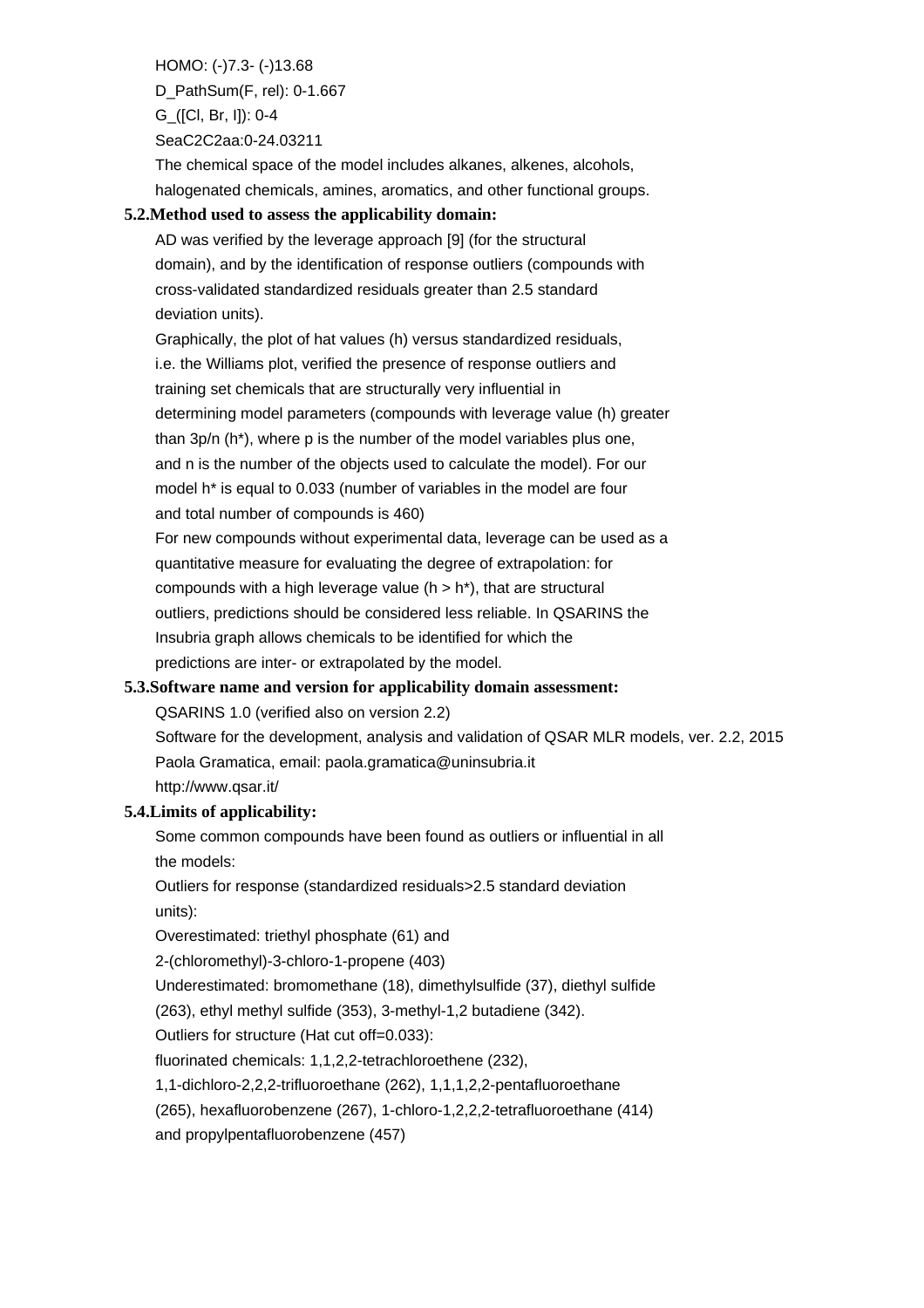HOMO: (-)7.3- (-)13.68 D\_PathSum(F, rel): 0-1.667 G\_([Cl, Br, I]): 0-4 SeaC2C2aa:0-24.03211

The chemical space of the model includes alkanes, alkenes, alcohols, halogenated chemicals, amines, aromatics, and other functional groups.

## **5.2.Method used to assess the applicability domain:**

AD was verified by the leverage approach [9] (for the structural domain), and by the identification of response outliers (compounds with cross-validated standardized residuals greater than 2.5 standard deviation units).

Graphically, the plot of hat values (h) versus standardized residuals, i.e. the Williams plot, verified the presence of response outliers and training set chemicals that are structurally very influential in determining model parameters (compounds with leverage value (h) greater than 3p/n (h\*), where p is the number of the model variables plus one, and n is the number of the objects used to calculate the model). For our model h\* is equal to 0.033 (number of variables in the model are four and total number of compounds is 460)

For new compounds without experimental data, leverage can be used as a quantitative measure for evaluating the degree of extrapolation: for compounds with a high leverage value  $(h > h<sup>*</sup>)$ , that are structural outliers, predictions should be considered less reliable. In QSARINS the Insubria graph allows chemicals to be identified for which the predictions are inter- or extrapolated by the model.

# **5.3.Software name and version for applicability domain assessment:**

QSARINS 1.0 (verified also on version 2.2)

Software for the development, analysis and validation of QSAR MLR models, ver. 2.2, 2015 Paola Gramatica, email: paola.gramatica@uninsubria.it http://www.qsar.it/

# **5.4.Limits of applicability:**

Some common compounds have been found as outliers or influential in all the models:

Outliers for response (standardized residuals>2.5 standard deviation units):

Overestimated: triethyl phosphate (61) and

2-(chloromethyl)-3-chloro-1-propene (403)

Underestimated: bromomethane (18), dimethylsulfide (37), diethyl sulfide

(263), ethyl methyl sulfide (353), 3-methyl-1,2 butadiene (342).

Outliers for structure (Hat cut off=0.033):

fluorinated chemicals: 1,1,2,2-tetrachloroethene (232),

1,1-dichloro-2,2,2-trifluoroethane (262), 1,1,1,2,2-pentafluoroethane

(265), hexafluorobenzene (267), 1-chloro-1,2,2,2-tetrafluoroethane (414)

and propylpentafluorobenzene (457)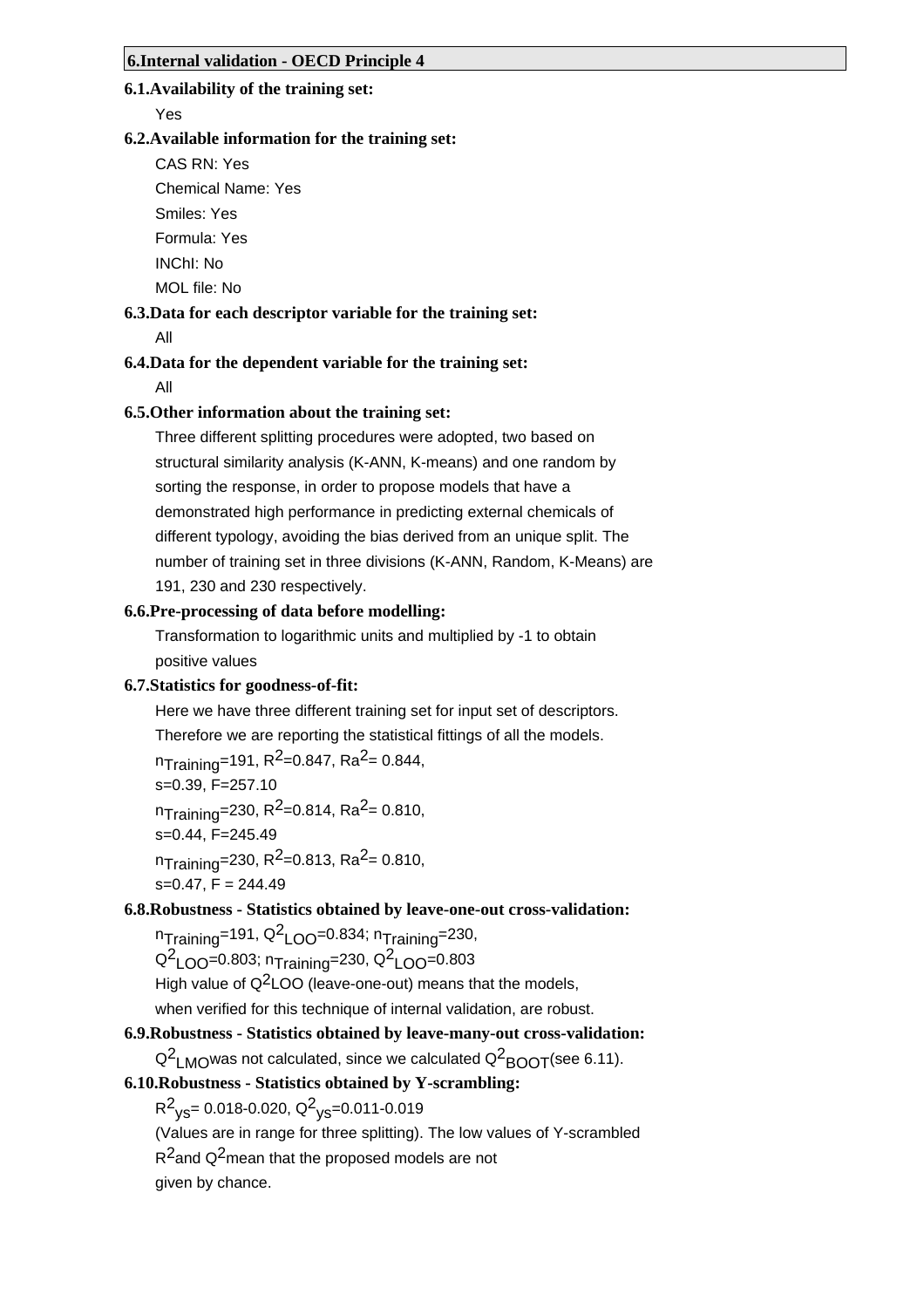## **6.1.Availability of the training set:**

Yes

## **6.2.Available information for the training set:**

CAS RN: Yes

Chemical Name: Yes

Smiles: Yes

Formula: Yes

INChI: No

MOL file: No

## **6.3.Data for each descriptor variable for the training set:**

All

# **6.4.Data for the dependent variable for the training set:**

All

## **6.5.Other information about the training set:**

Three different splitting procedures were adopted, two based on structural similarity analysis (K-ANN, K-means) and one random by sorting the response, in order to propose models that have a demonstrated high performance in predicting external chemicals of different typology, avoiding the bias derived from an unique split. The number of training set in three divisions (K-ANN, Random, K-Means) are 191, 230 and 230 respectively.

## **6.6.Pre-processing of data before modelling:**

Transformation to logarithmic units and multiplied by -1 to obtain positive values

#### **6.7.Statistics for goodness-of-fit:**

Here we have three different training set for input set of descriptors. Therefore we are reporting the statistical fittings of all the models.

 $n_{\text{Training}}$ =191, R<sup>2</sup>=0.847, Ra<sup>2</sup>= 0.844,

$$
s=0.39, F=257.10
$$

 $n_{\text{Training}}$ =230, R<sup>2</sup>=0.814, Ra<sup>2</sup>= 0.810,

s=0.44, F=245.49

 $n_{\text{Training}}$ =230, R<sup>2</sup>=0.813, Ra<sup>2</sup>= 0.810,

 $s=0.47$ ,  $F = 244.49$ 

# **6.8.Robustness - Statistics obtained by leave-one-out cross-validation:**

 $n_{\sf Training}$ =191, Q $^2$ LOO=0.834;  $n_{\sf Training}$ =230,

Q<sup>2</sup>LOO=0.803; n<sub>Training</sub>=230, Q<sup>2</sup>LOO=0.803

High value of  $Q^2$ LOO (leave-one-out) means that the models,

when verified for this technique of internal validation, are robust.

# **6.9.Robustness - Statistics obtained by leave-many-out cross-validation:**

 $\mathsf{Q}^2$ <sub>LMO</sub>was not calculated, since we calculated  $\mathsf{Q}^2$ <sub>BOOT</sub>(see 6.11).

# **6.10.Robustness - Statistics obtained by Y-scrambling:**

R<sup>2</sup><sub>ys</sub>= 0.018-0.020, Q<sup>2</sup><sub>ys</sub>=0.011-0.019

(Values are in range for three splitting). The low values of Y-scrambled

R<sup>2</sup>and Q<sup>2</sup>mean that the proposed models are not

given by chance.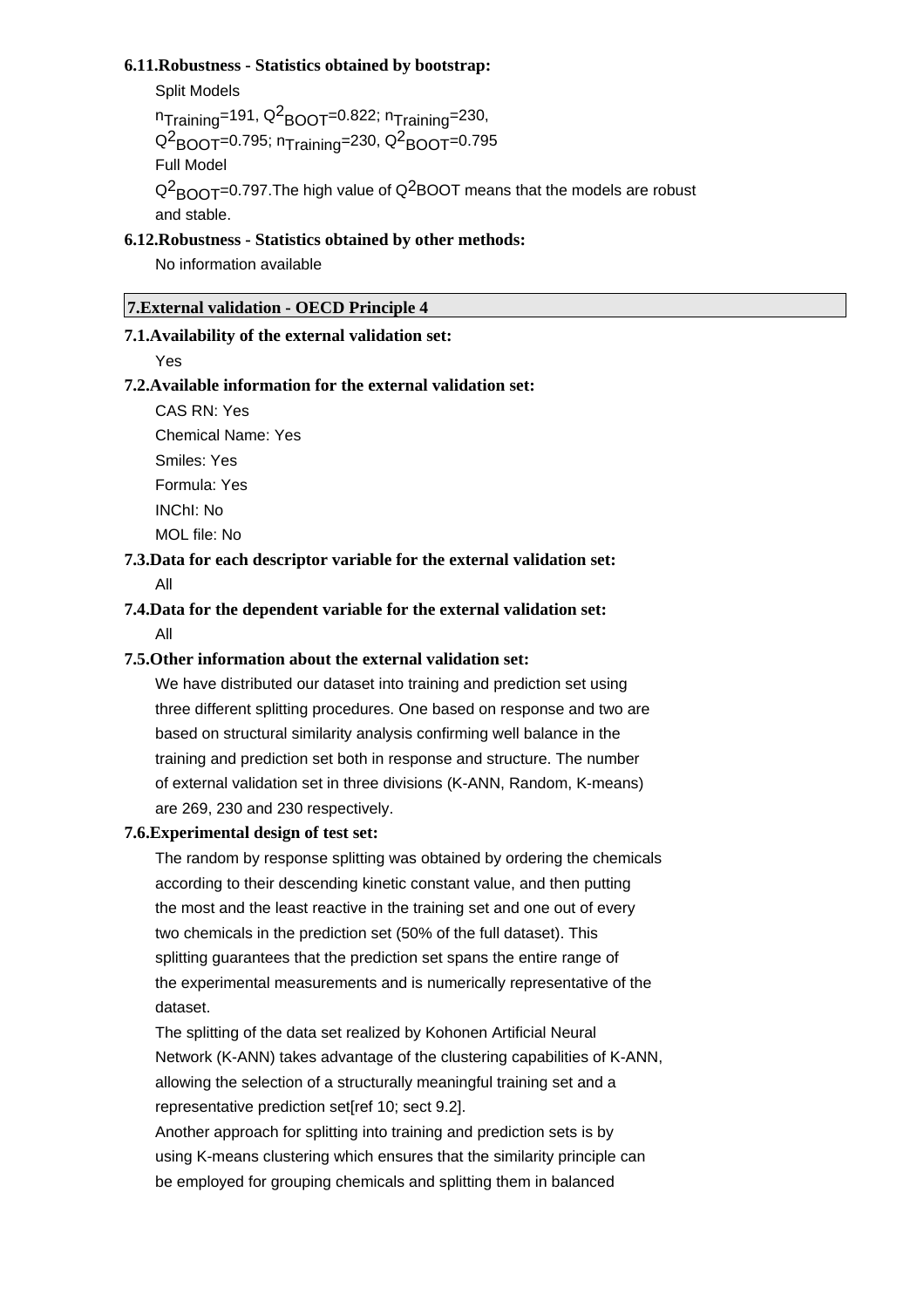#### **6.11.Robustness - Statistics obtained by bootstrap:**

Split Models

 $n_{\sf Training}$ =191, Q $^2$ BOOT=0.822;  $n_{\sf Training}$ =230, Q<sup>2</sup>BOOT=0.795; n<sub>Training</sub>=230, Q<sup>2</sup>BOOT=0.795 Full Model Q $^2$ <sub>BOOT</sub>=0.797.The high value of Q $^2$ BOOT means that the models are robust and stable.

## **6.12.Robustness - Statistics obtained by other methods:**

No information available

## **7.External validation - OECD Principle 4**

#### **7.1.Availability of the external validation set:**

Yes

## **7.2.Available information for the external validation set:**

CAS RN: Yes

Chemical Name: Yes

Smiles: Yes Formula: Yes INChI: No MOL file: No

**7.3.Data for each descriptor variable for the external validation set:**

All

# **7.4.Data for the dependent variable for the external validation set:** All

## **7.5.Other information about the external validation set:**

We have distributed our dataset into training and prediction set using three different splitting procedures. One based on response and two are based on structural similarity analysis confirming well balance in the training and prediction set both in response and structure. The number of external validation set in three divisions (K-ANN, Random, K-means) are 269, 230 and 230 respectively.

#### **7.6.Experimental design of test set:**

The random by response splitting was obtained by ordering the chemicals according to their descending kinetic constant value, and then putting the most and the least reactive in the training set and one out of every two chemicals in the prediction set (50% of the full dataset). This splitting guarantees that the prediction set spans the entire range of the experimental measurements and is numerically representative of the dataset.

The splitting of the data set realized by Kohonen Artificial Neural Network (K-ANN) takes advantage of the clustering capabilities of K-ANN, allowing the selection of a structurally meaningful training set and a representative prediction set[ref 10; sect 9.2].

Another approach for splitting into training and prediction sets is by using K-means clustering which ensures that the similarity principle can be employed for grouping chemicals and splitting them in balanced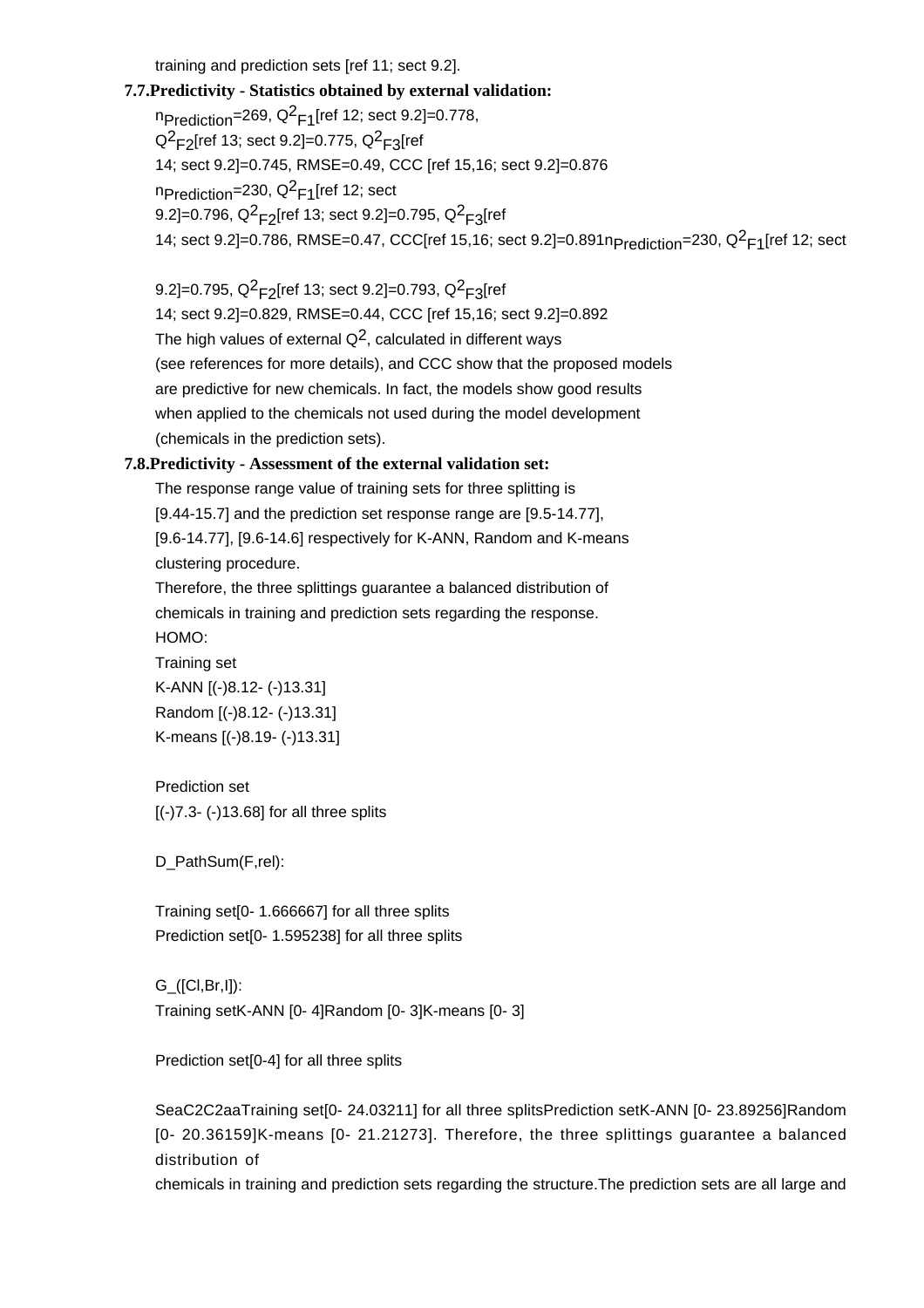training and prediction sets [ref 11; sect 9.2].

# **7.7.Predictivity - Statistics obtained by external validation:**

<code>np</code>rediction=269, Q $^2$ F1[ref 12; sect 9.2]=0.778, Q<sup>2</sup>F2[ref 13; sect 9.2]=0.775, Q<sup>2</sup>F3[ref 14; sect 9.2]=0.745, RMSE=0.49, CCC [ref 15,16; sect 9.2]=0.876 n<sub>Prediction</sub>=230, Q<sup>2</sup><sub>F1</sub>[ref 12; sect 9.2]=0.796, Q<sup>2</sup><sub>F2</sub>[ref 13; sect 9.2]=0.795, Q<sup>2</sup><sub>F3</sub>[ref 14; sect 9.2]=0.786, RMSE=0.47, CCC[ref 15,16; sect 9.2]=0.891n<sub>Prediction</sub>=230, Q<sup>2</sup><sub>F1</sub>[ref 12; sect

9.2]=0.795, Q<sup>2</sup><sub>F2</sub>[ref 13; sect 9.2]=0.793, Q<sup>2</sup><sub>F3</sub>[ref 14; sect 9.2]=0.829, RMSE=0.44, CCC [ref 15,16; sect 9.2]=0.892 The high values of external  $Q^2$ , calculated in different ways (see references for more details), and CCC show that the proposed models are predictive for new chemicals. In fact, the models show good results when applied to the chemicals not used during the model development (chemicals in the prediction sets).

# **7.8.Predictivity - Assessment of the external validation set:**

The response range value of training sets for three splitting is [9.44-15.7] and the prediction set response range are [9.5-14.77], [9.6-14.77], [9.6-14.6] respectively for K-ANN, Random and K-means clustering procedure.

Therefore, the three splittings guarantee a balanced distribution of chemicals in training and prediction sets regarding the response. HOMO:

Training set K-ANN [(-)8.12- (-)13.31] Random [(-)8.12- (-)13.31] K-means [(-)8.19- (-)13.31]

# Prediction set [(-)7.3- (-)13.68] for all three splits

D\_PathSum(F,rel):

Training set[0- 1.666667] for all three splits Prediction set[0- 1.595238] for all three splits

G\_([Cl,Br,I]): Training setK-ANN [0- 4]Random [0- 3]K-means [0- 3]

Prediction set[0-4] for all three splits

SeaC2C2aaTraining set[0- 24.03211] for all three splitsPrediction setK-ANN [0- 23.89256]Random [0- 20.36159]K-means [0- 21.21273]. Therefore, the three splittings guarantee a balanced distribution of

chemicals in training and prediction sets regarding the structure.The prediction sets are all large and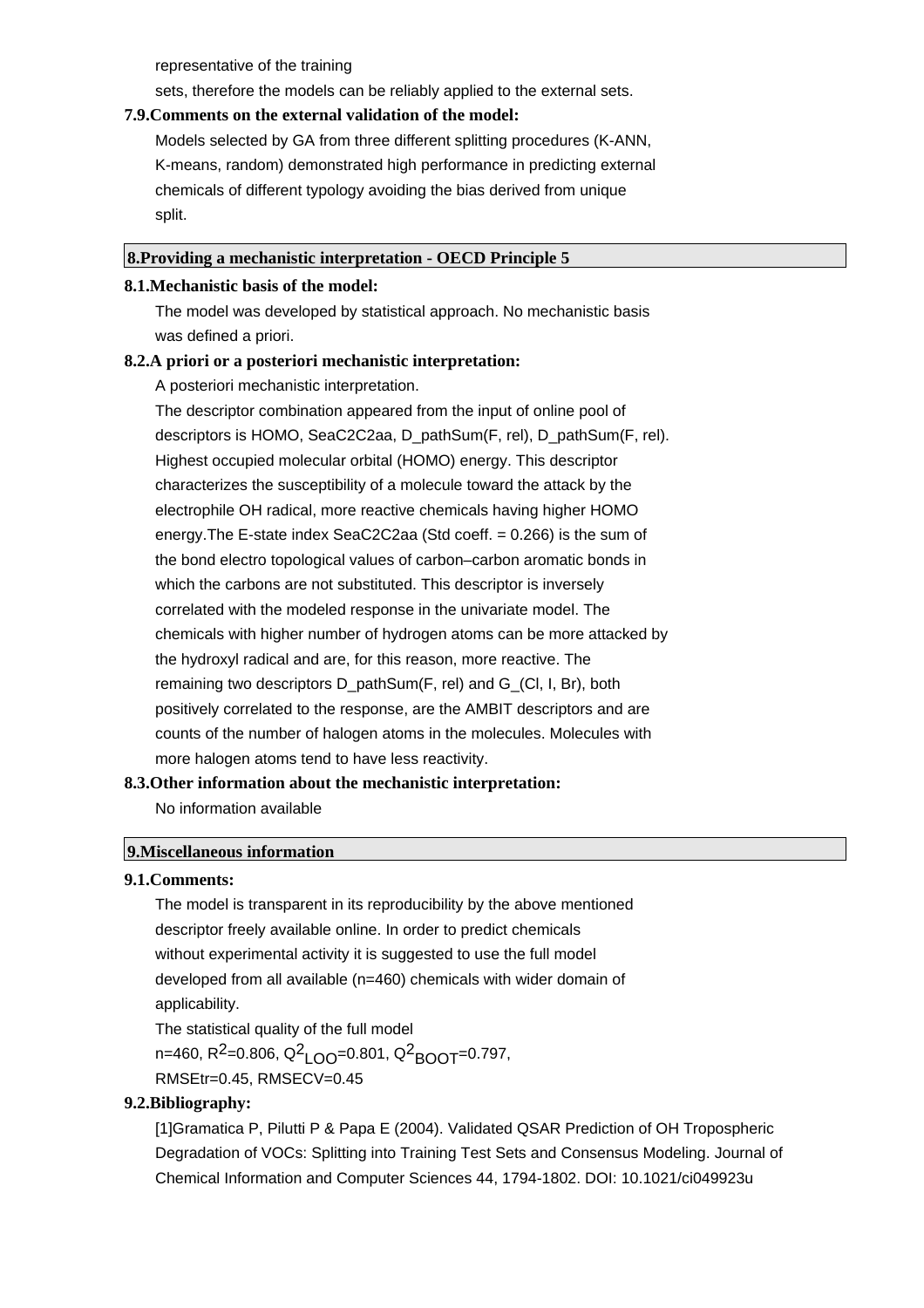representative of the training

sets, therefore the models can be reliably applied to the external sets.

#### **7.9.Comments on the external validation of the model:**

Models selected by GA from three different splitting procedures (K-ANN, K-means, random) demonstrated high performance in predicting external chemicals of different typology avoiding the bias derived from unique split.

#### **8.Providing a mechanistic interpretation - OECD Principle 5**

#### **8.1.Mechanistic basis of the model:**

The model was developed by statistical approach. No mechanistic basis was defined a priori.

## **8.2.A priori or a posteriori mechanistic interpretation:**

A posteriori mechanistic interpretation.

The descriptor combination appeared from the input of online pool of descriptors is HOMO, SeaC2C2aa, D\_pathSum(F, rel), D\_pathSum(F, rel). Highest occupied molecular orbital (HOMO) energy. This descriptor characterizes the susceptibility of a molecule toward the attack by the electrophile OH radical, more reactive chemicals having higher HOMO energy.The E-state index SeaC2C2aa (Std coeff. = 0.266) is the sum of the bond electro topological values of carbon–carbon aromatic bonds in which the carbons are not substituted. This descriptor is inversely correlated with the modeled response in the univariate model. The chemicals with higher number of hydrogen atoms can be more attacked by the hydroxyl radical and are, for this reason, more reactive. The remaining two descriptors D\_pathSum(F, rel) and G\_(Cl, I, Br), both positively correlated to the response, are the AMBIT descriptors and are counts of the number of halogen atoms in the molecules. Molecules with more halogen atoms tend to have less reactivity.

# **8.3.Other information about the mechanistic interpretation:** No information available

#### **9.Miscellaneous information**

#### **9.1.Comments:**

The model is transparent in its reproducibility by the above mentioned descriptor freely available online. In order to predict chemicals without experimental activity it is suggested to use the full model developed from all available (n=460) chemicals with wider domain of applicability. The statistical quality of the full model n=460, R<sup>2</sup>=0.806, Q<sup>2</sup>LOO=0.801, Q<sup>2</sup>BOOT=0.797, RMSEtr=0.45, RMSECV=0.45

#### **9.2.Bibliography:**

[1]Gramatica P, Pilutti P & Papa E (2004). Validated QSAR Prediction of OH Tropospheric Degradation of VOCs: Splitting into Training Test Sets and Consensus Modeling. Journal of Chemical Information and Computer Sciences 44, 1794-1802. DOI: 10.1021/ci049923u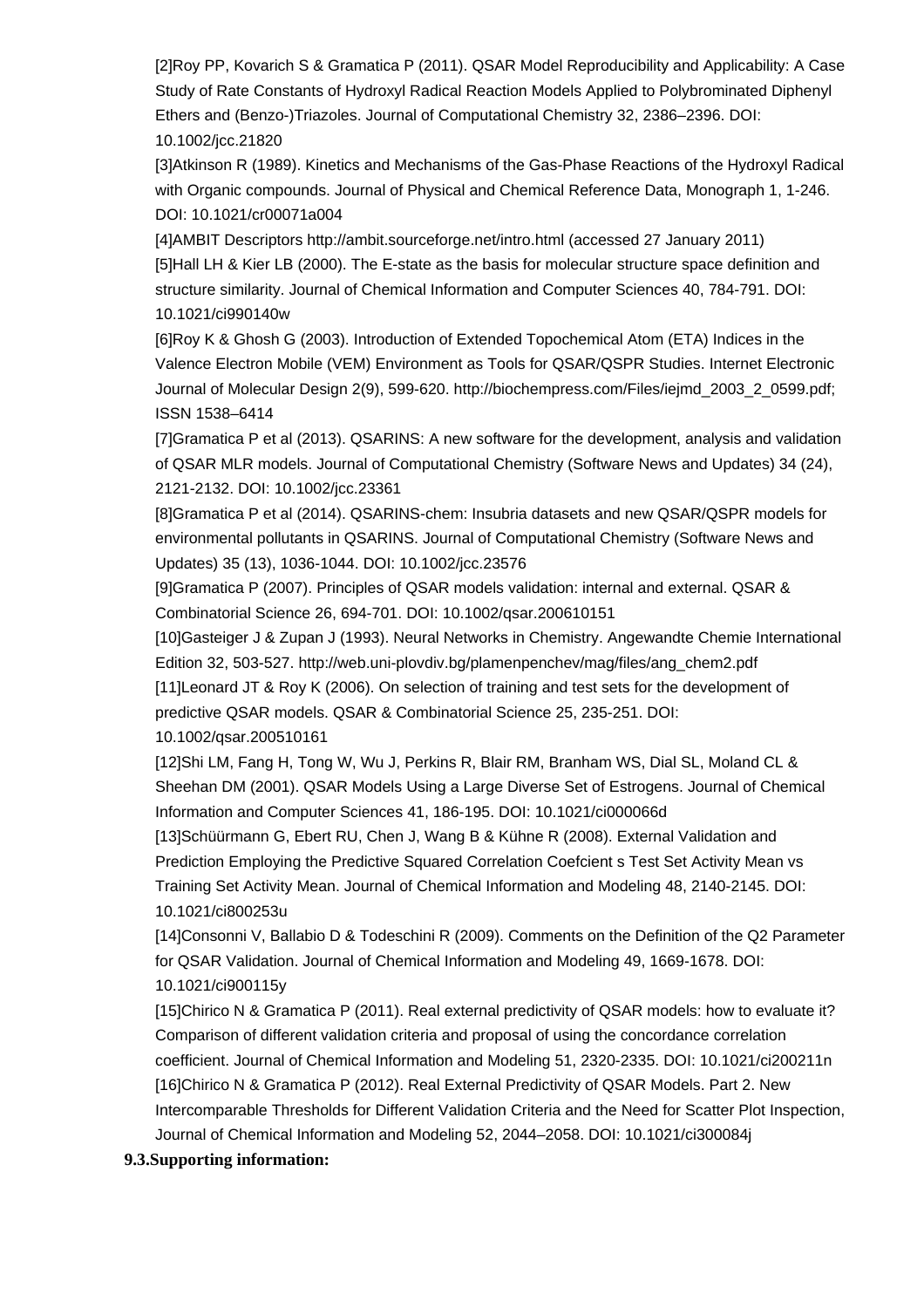[2]Roy PP, Kovarich S & Gramatica P (2011). QSAR Model Reproducibility and Applicability: A Case Study of Rate Constants of Hydroxyl Radical Reaction Models Applied to Polybrominated Diphenyl Ethers and (Benzo-)Triazoles. Journal of Computational Chemistry 32, 2386–2396. DOI: 10.1002/jcc.21820

[3]Atkinson R (1989). Kinetics and Mechanisms of the Gas-Phase Reactions of the Hydroxyl Radical with Organic compounds. Journal of Physical and Chemical Reference Data, Monograph 1, 1-246. DOI: 10.1021/cr00071a004

[4]AMBIT Descriptors http://ambit.sourceforge.net/intro.html (accessed 27 January 2011) [5]Hall LH & Kier LB (2000). The E-state as the basis for molecular structure space definition and structure similarity. Journal of Chemical Information and Computer Sciences 40, 784-791. DOI: 10.1021/ci990140w

[6]Roy K & Ghosh G (2003). Introduction of Extended Topochemical Atom (ETA) Indices in the Valence Electron Mobile (VEM) Environment as Tools for QSAR/QSPR Studies. Internet Electronic Journal of Molecular Design 2(9), 599-620. http://biochempress.com/Files/iejmd\_2003\_2\_0599.pdf; ISSN 1538–6414

[7]Gramatica P et al (2013). QSARINS: A new software for the development, analysis and validation of QSAR MLR models. Journal of Computational Chemistry (Software News and Updates) 34 (24), 2121-2132. DOI: 10.1002/jcc.23361

[8]Gramatica P et al (2014). QSARINS-chem: Insubria datasets and new QSAR/QSPR models for environmental pollutants in QSARINS. Journal of Computational Chemistry (Software News and Updates) 35 (13), 1036-1044. DOI: 10.1002/jcc.23576

[9]Gramatica P (2007). Principles of QSAR models validation: internal and external. QSAR & Combinatorial Science 26, 694-701. DOI: 10.1002/qsar.200610151

[10]Gasteiger J & Zupan J (1993). Neural Networks in Chemistry. Angewandte Chemie International Edition 32, 503-527. http://web.uni-plovdiv.bg/plamenpenchev/mag/files/ang\_chem2.pdf [11]Leonard JT & Roy K (2006). On selection of training and test sets for the development of predictive QSAR models. QSAR & Combinatorial Science 25, 235-251. DOI: 10.1002/qsar.200510161

[12]Shi LM, Fang H, Tong W, Wu J, Perkins R, Blair RM, Branham WS, Dial SL, Moland CL & Sheehan DM (2001). QSAR Models Using a Large Diverse Set of Estrogens. Journal of Chemical Information and Computer Sciences 41, 186-195. DOI: 10.1021/ci000066d

[13]Schüürmann G, Ebert RU, Chen J, Wang B & Kühne R (2008). External Validation and Prediction Employing the Predictive Squared Correlation Coefcient s Test Set Activity Mean vs Training Set Activity Mean. Journal of Chemical Information and Modeling 48, 2140-2145. DOI: 10.1021/ci800253u

[14]Consonni V, Ballabio D & Todeschini R (2009). Comments on the Definition of the Q2 Parameter for QSAR Validation. Journal of Chemical Information and Modeling 49, 1669-1678. DOI: 10.1021/ci900115y

[15]Chirico N & Gramatica P (2011). Real external predictivity of QSAR models: how to evaluate it? Comparison of different validation criteria and proposal of using the concordance correlation coefficient. Journal of Chemical Information and Modeling 51, 2320-2335. DOI: 10.1021/ci200211n [16]Chirico N & Gramatica P (2012). Real External Predictivity of QSAR Models. Part 2. New Intercomparable Thresholds for Different Validation Criteria and the Need for Scatter Plot Inspection, Journal of Chemical Information and Modeling 52, 2044–2058. DOI: 10.1021/ci300084j

# **9.3.Supporting information:**